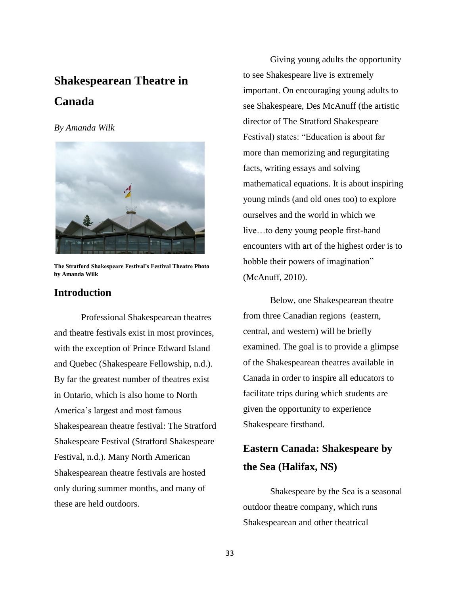## **Shakespearean Theatre in Canada**

#### *By Amanda Wilk*



**The Stratford Shakespeare Festival's Festival Theatre Photo by Amanda Wilk** 

#### **Introduction**

Professional Shakespearean theatres and theatre festivals exist in most provinces, with the exception of Prince Edward Island and Quebec (Shakespeare Fellowship, n.d.). By far the greatest number of theatres exist in Ontario, which is also home to North America's largest and most famous Shakespearean theatre festival: The Stratford Shakespeare Festival (Stratford Shakespeare Festival, n.d.). Many North American Shakespearean theatre festivals are hosted only during summer months, and many of these are held outdoors.

Giving young adults the opportunity to see Shakespeare live is extremely important. On encouraging young adults to see Shakespeare, Des McAnuff (the artistic director of The Stratford Shakespeare Festival) states: "Education is about far more than memorizing and regurgitating facts, writing essays and solving mathematical equations. It is about inspiring young minds (and old ones too) to explore ourselves and the world in which we live…to deny young people first-hand encounters with art of the highest order is to hobble their powers of imagination" (McAnuff, 2010).

Below, one Shakespearean theatre from three Canadian regions (eastern, central, and western) will be briefly examined. The goal is to provide a glimpse of the Shakespearean theatres available in Canada in order to inspire all educators to facilitate trips during which students are given the opportunity to experience Shakespeare firsthand.

## **Eastern Canada: Shakespeare by the Sea (Halifax, NS)**

Shakespeare by the Sea is a seasonal outdoor theatre company, which runs Shakespearean and other theatrical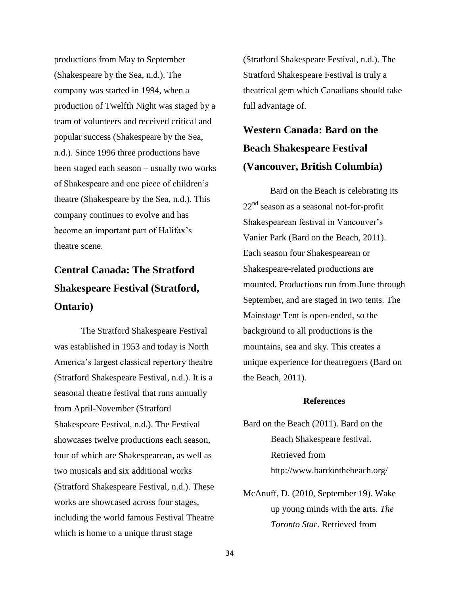productions from May to September (Shakespeare by the Sea, n.d.). The company was started in 1994, when a production of Twelfth Night was staged by a team of volunteers and received critical and popular success (Shakespeare by the Sea, n.d.). Since 1996 three productions have been staged each season – usually two works of Shakespeare and one piece of children's theatre (Shakespeare by the Sea, n.d.). This company continues to evolve and has become an important part of Halifax's theatre scene.

## **Central Canada: The Stratford Shakespeare Festival (Stratford, Ontario)**

The Stratford Shakespeare Festival was established in 1953 and today is North America's largest classical repertory theatre (Stratford Shakespeare Festival, n.d.). It is a seasonal theatre festival that runs annually from April-November (Stratford Shakespeare Festival, n.d.). The Festival showcases twelve productions each season, four of which are Shakespearean, as well as two musicals and six additional works (Stratford Shakespeare Festival, n.d.). These works are showcased across four stages, including the world famous Festival Theatre which is home to a unique thrust stage

(Stratford Shakespeare Festival, n.d.). The Stratford Shakespeare Festival is truly a theatrical gem which Canadians should take full advantage of.

## **Western Canada: Bard on the Beach Shakespeare Festival (Vancouver, British Columbia)**

Bard on the Beach is celebrating its  $22<sup>nd</sup>$  season as a seasonal not-for-profit Shakespearean festival in Vancouver's Vanier Park (Bard on the Beach, 2011). Each season four Shakespearean or Shakespeare-related productions are mounted. Productions run from June through September, and are staged in two tents. The Mainstage Tent is open-ended, so the background to all productions is the mountains, sea and sky. This creates a unique experience for theatregoers (Bard on the Beach, 2011).

#### **References**

- Bard on the Beach (2011). Bard on the Beach Shakespeare festival. Retrieved from http://www.bardonthebeach.org/
- McAnuff, D. (2010, September 19). Wake up young minds with the arts. *The Toronto Star*. Retrieved from